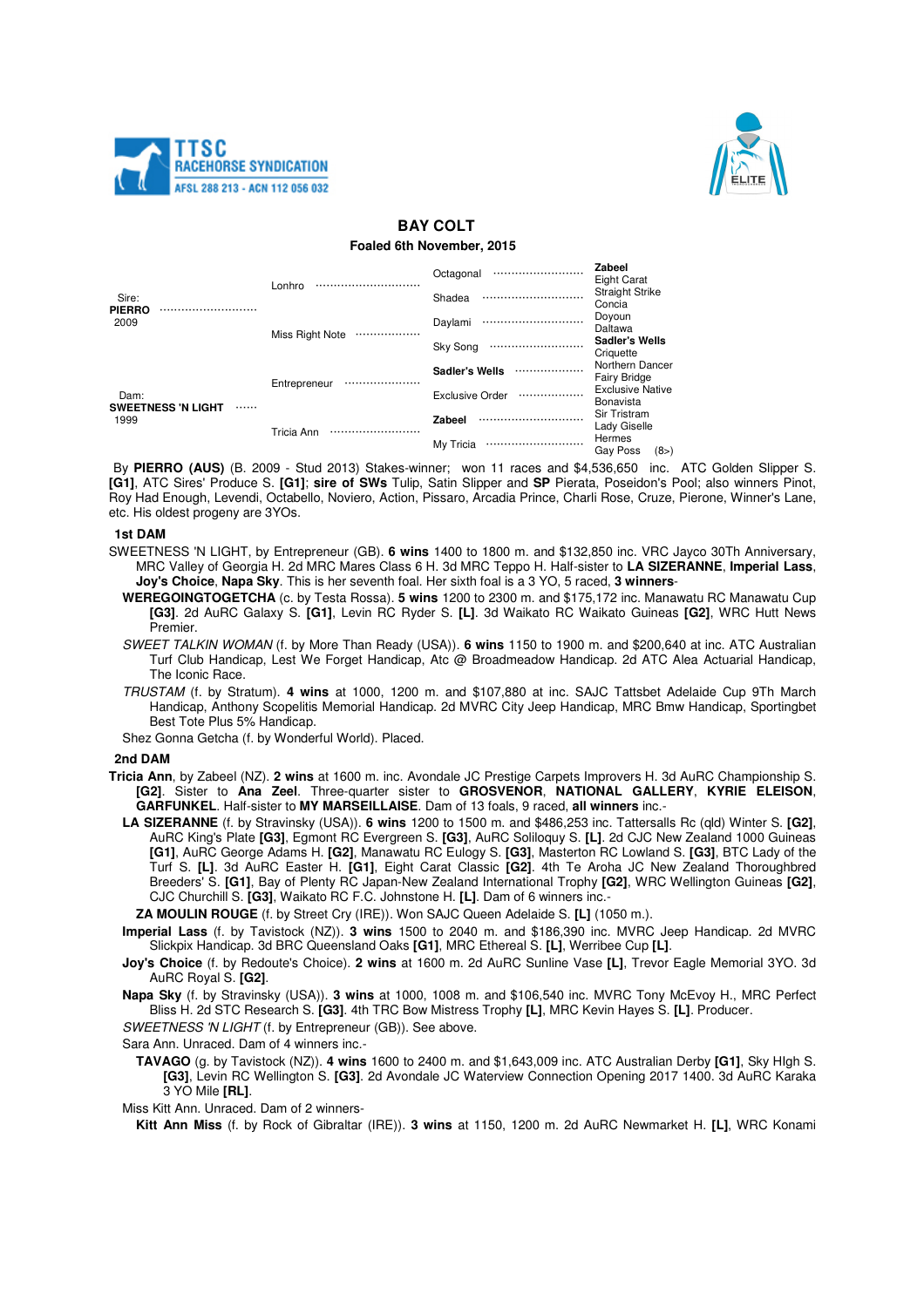



# **BAY COLT**

## **Foaled 6th November, 2015**

| Sire:<br><b>PIERRO</b><br>2009                | Lonhro              | Octagonal<br>              | Zabeel<br>Eight Carat                  |
|-----------------------------------------------|---------------------|----------------------------|----------------------------------------|
|                                               |                     | Shadea<br>                 | <b>Straight Strike</b><br>Concia       |
|                                               | Miss Right Note<br> | Daylami<br>                | Doyoun<br>Daltawa                      |
|                                               |                     | Sky Song<br>               | Sadler's Wells<br>Criquette            |
| Dam:<br><b>SWEETNESS 'N LIGHT</b><br><br>1999 | Entrepreneur<br>    | <b>Sadler's Wells</b><br>. | Northern Dancer<br><b>Fairy Bridge</b> |
|                                               |                     | <b>Exclusive Order</b><br> | <b>Exclusive Native</b><br>Bonavista   |
|                                               | Tricia Ann          | <b>Zabeel</b><br>          | Sir Tristram<br>Lady Giselle           |
|                                               |                     | My Tricia                  | Hermes<br>(8)<br>Gav Poss              |

By **PIERRO (AUS)** (B. 2009 - Stud 2013) Stakes-winner; won 11 races and \$4,536,650 inc. ATC Golden Slipper S. **[G1]**, ATC Sires' Produce S. **[G1]**; **sire of SWs** Tulip, Satin Slipper and **SP** Pierata, Poseidon's Pool; also winners Pinot, Roy Had Enough, Levendi, Octabello, Noviero, Action, Pissaro, Arcadia Prince, Charli Rose, Cruze, Pierone, Winner's Lane, etc. His oldest progeny are 3YOs.

### **1st DAM**

- SWEETNESS 'N LIGHT, by Entrepreneur (GB). **6 wins** 1400 to 1800 m. and \$132,850 inc. VRC Jayco 30Th Anniversary, MRC Valley of Georgia H. 2d MRC Mares Class 6 H. 3d MRC Teppo H. Half-sister to **LA SIZERANNE**, **Imperial Lass**, **Joy's Choice**, **Napa Sky**. This is her seventh foal. Her sixth foal is a 3 YO, 5 raced, **3 winners**-
	- **WEREGOINGTOGETCHA** (c. by Testa Rossa). **5 wins** 1200 to 2300 m. and \$175,172 inc. Manawatu RC Manawatu Cup **[G3]**. 2d AuRC Galaxy S. **[G1]**, Levin RC Ryder S. **[L]**. 3d Waikato RC Waikato Guineas **[G2]**, WRC Hutt News Premier.
	- SWEET TALKIN WOMAN (f. by More Than Ready (USA)). **6 wins** 1150 to 1900 m. and \$200,640 at inc. ATC Australian Turf Club Handicap, Lest We Forget Handicap, Atc @ Broadmeadow Handicap. 2d ATC Alea Actuarial Handicap, The Iconic Race.
	- TRUSTAM (f. by Stratum). **4 wins** at 1000, 1200 m. and \$107,880 at inc. SAJC Tattsbet Adelaide Cup 9Th March Handicap, Anthony Scopelitis Memorial Handicap. 2d MVRC City Jeep Handicap, MRC Bmw Handicap, Sportingbet Best Tote Plus 5% Handicap.
	- Shez Gonna Getcha (f. by Wonderful World). Placed.

#### **2nd DAM**

- **Tricia Ann**, by Zabeel (NZ). **2 wins** at 1600 m. inc. Avondale JC Prestige Carpets Improvers H. 3d AuRC Championship S. **[G2]**. Sister to **Ana Zeel**. Three-quarter sister to **GROSVENOR**, **NATIONAL GALLERY**, **KYRIE ELEISON**, **GARFUNKEL**. Half-sister to **MY MARSEILLAISE**. Dam of 13 foals, 9 raced, **all winners** inc.-
	- **LA SIZERANNE** (f. by Stravinsky (USA)). **6 wins** 1200 to 1500 m. and \$486,253 inc. Tattersalls Rc (qld) Winter S. **[G2]**, AuRC King's Plate **[G3]**, Egmont RC Evergreen S. **[G3]**, AuRC Soliloquy S. **[L]**. 2d CJC New Zealand 1000 Guineas **[G1]**, AuRC George Adams H. **[G2]**, Manawatu RC Eulogy S. **[G3]**, Masterton RC Lowland S. **[G3]**, BTC Lady of the Turf S. **[L]**. 3d AuRC Easter H. **[G1]**, Eight Carat Classic **[G2]**. 4th Te Aroha JC New Zealand Thoroughbred Breeders' S. **[G1]**, Bay of Plenty RC Japan-New Zealand International Trophy **[G2]**, WRC Wellington Guineas **[G2]**, CJC Churchill S. **[G3]**, Waikato RC F.C. Johnstone H. **[L]**. Dam of 6 winners inc.-

**ZA MOULIN ROUGE** (f. by Street Cry (IRE)). Won SAJC Queen Adelaide S. **[L]** (1050 m.).

- **Imperial Lass** (f. by Tavistock (NZ)). **3 wins** 1500 to 2040 m. and \$186,390 inc. MVRC Jeep Handicap. 2d MVRC Slickpix Handicap. 3d BRC Queensland Oaks **[G1]**, MRC Ethereal S. **[L]**, Werribee Cup **[L]**.
- **Joy's Choice** (f. by Redoute's Choice). **2 wins** at 1600 m. 2d AuRC Sunline Vase **[L]**, Trevor Eagle Memorial 3YO. 3d AuRC Royal S. **[G2]**.

**Napa Sky** (f. by Stravinsky (USA)). **3 wins** at 1000, 1008 m. and \$106,540 inc. MVRC Tony McEvoy H., MRC Perfect Bliss H. 2d STC Research S. **[G3]**. 4th TRC Bow Mistress Trophy **[L]**, MRC Kevin Hayes S. **[L]**. Producer.

SWEETNESS 'N LIGHT (f. by Entrepreneur (GB)). See above.

Sara Ann. Unraced. Dam of 4 winners inc.-

**TAVAGO** (g. by Tavistock (NZ)). **4 wins** 1600 to 2400 m. and \$1,643,009 inc. ATC Australian Derby **[G1]**, Sky HIgh S. **[G3]**, Levin RC Wellington S. **[G3]**. 2d Avondale JC Waterview Connection Opening 2017 1400. 3d AuRC Karaka 3 YO Mile **[RL]**.

Miss Kitt Ann. Unraced. Dam of 2 winners-

**Kitt Ann Miss** (f. by Rock of Gibraltar (IRE)). **3 wins** at 1150, 1200 m. 2d AuRC Newmarket H. **[L]**, WRC Konami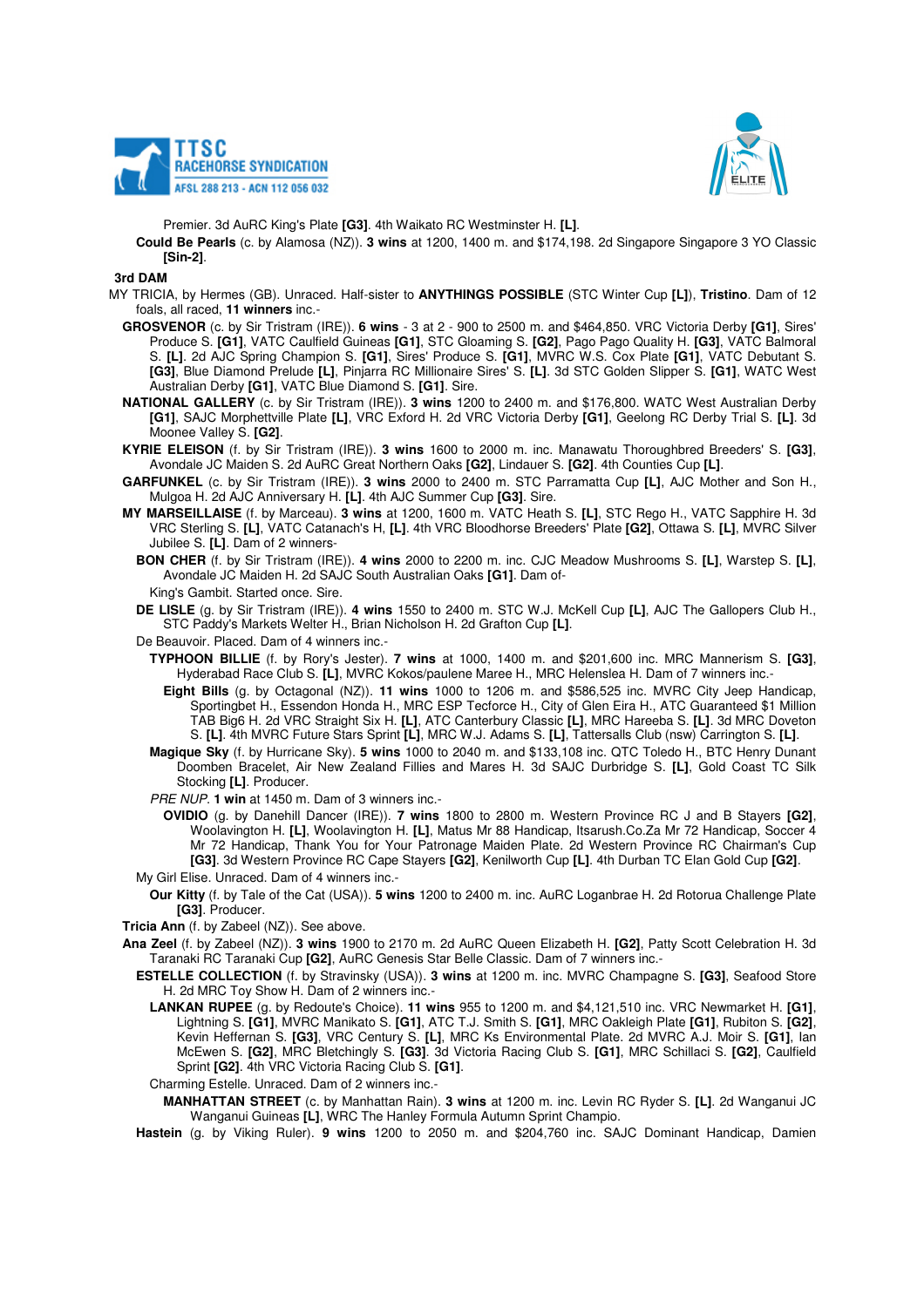



Premier. 3d AuRC King's Plate **[G3]**. 4th Waikato RC Westminster H. **[L]**.

**Could Be Pearls** (c. by Alamosa (NZ)). **3 wins** at 1200, 1400 m. and \$174,198. 2d Singapore Singapore 3 YO Classic **[Sin-2]**.

#### **3rd DAM**

- MY TRICIA, by Hermes (GB). Unraced. Half-sister to **ANYTHINGS POSSIBLE** (STC Winter Cup **[L]**), **Tristino**. Dam of 12 foals, all raced, **11 winners** inc.-
	- **GROSVENOR** (c. by Sir Tristram (IRE)). **6 wins**  3 at 2 900 to 2500 m. and \$464,850. VRC Victoria Derby **[G1]**, Sires' Produce S. **[G1]**, VATC Caulfield Guineas **[G1]**, STC Gloaming S. **[G2]**, Pago Pago Quality H. **[G3]**, VATC Balmoral S. **[L]**. 2d AJC Spring Champion S. **[G1]**, Sires' Produce S. **[G1]**, MVRC W.S. Cox Plate **[G1]**, VATC Debutant S. **[G3]**, Blue Diamond Prelude **[L]**, Pinjarra RC Millionaire Sires' S. **[L]**. 3d STC Golden Slipper S. **[G1]**, WATC West Australian Derby **[G1]**, VATC Blue Diamond S. **[G1]**. Sire.
	- **NATIONAL GALLERY** (c. by Sir Tristram (IRE)). **3 wins** 1200 to 2400 m. and \$176,800. WATC West Australian Derby **[G1]**, SAJC Morphettville Plate **[L]**, VRC Exford H. 2d VRC Victoria Derby **[G1]**, Geelong RC Derby Trial S. **[L]**. 3d Moonee Valley S. **[G2]**.
	- **KYRIE ELEISON** (f. by Sir Tristram (IRE)). **3 wins** 1600 to 2000 m. inc. Manawatu Thoroughbred Breeders' S. **[G3]**, Avondale JC Maiden S. 2d AuRC Great Northern Oaks **[G2]**, Lindauer S. **[G2]**. 4th Counties Cup **[L]**.
	- **GARFUNKEL** (c. by Sir Tristram (IRE)). **3 wins** 2000 to 2400 m. STC Parramatta Cup **[L]**, AJC Mother and Son H., Mulgoa H. 2d AJC Anniversary H. **[L]**. 4th AJC Summer Cup **[G3]**. Sire.
	- **MY MARSEILLAISE** (f. by Marceau). **3 wins** at 1200, 1600 m. VATC Heath S. **[L]**, STC Rego H., VATC Sapphire H. 3d VRC Sterling S. **[L]**, VATC Catanach's H, **[L]**. 4th VRC Bloodhorse Breeders' Plate **[G2]**, Ottawa S. **[L]**, MVRC Silver Jubilee S. **[L]**. Dam of 2 winners-
		- **BON CHER** (f. by Sir Tristram (IRE)). **4 wins** 2000 to 2200 m. inc. CJC Meadow Mushrooms S. **[L]**, Warstep S. **[L]**, Avondale JC Maiden H. 2d SAJC South Australian Oaks **[G1]**. Dam of-
		- King's Gambit. Started once. Sire.
		- **DE LISLE** (g. by Sir Tristram (IRE)). **4 wins** 1550 to 2400 m. STC W.J. McKell Cup **[L]**, AJC The Gallopers Club H., STC Paddy's Markets Welter H., Brian Nicholson H. 2d Grafton Cup **[L]**.
		- De Beauvoir. Placed. Dam of 4 winners inc.-
			- **TYPHOON BILLIE** (f. by Rory's Jester). **7 wins** at 1000, 1400 m. and \$201,600 inc. MRC Mannerism S. **[G3]**, Hyderabad Race Club S. **[L]**, MVRC Kokos/paulene Maree H., MRC Helenslea H. Dam of 7 winners inc.-
			- **Eight Bills** (g. by Octagonal (NZ)). **11 wins** 1000 to 1206 m. and \$586,525 inc. MVRC City Jeep Handicap, Sportingbet H., Essendon Honda H., MRC ESP Tecforce H., City of Glen Eira H., ATC Guaranteed \$1 Million TAB Big6 H. 2d VRC Straight Six H. **[L]**, ATC Canterbury Classic **[L]**, MRC Hareeba S. **[L]**. 3d MRC Doveton S. **[L]**. 4th MVRC Future Stars Sprint **[L]**, MRC W.J. Adams S. **[L]**, Tattersalls Club (nsw) Carrington S. **[L]**.
			- **Magique Sky** (f. by Hurricane Sky). **5 wins** 1000 to 2040 m. and \$133,108 inc. QTC Toledo H., BTC Henry Dunant Doomben Bracelet, Air New Zealand Fillies and Mares H. 3d SAJC Durbridge S. **[L]**, Gold Coast TC Silk Stocking **[L]**. Producer.
			- PRE NUP. **1 win** at 1450 m. Dam of 3 winners inc.-
		- **OVIDIO** (g. by Danehill Dancer (IRE)). **7 wins** 1800 to 2800 m. Western Province RC J and B Stayers **[G2]**, Woolavington H. **[L]**, Woolavington H. **[L]**, Matus Mr 88 Handicap, Itsarush.Co.Za Mr 72 Handicap, Soccer 4 Mr 72 Handicap, Thank You for Your Patronage Maiden Plate. 2d Western Province RC Chairman's Cup **[G3]**. 3d Western Province RC Cape Stayers **[G2]**, Kenilworth Cup **[L]**. 4th Durban TC Elan Gold Cup **[G2]**. My Girl Elise. Unraced. Dam of 4 winners inc.-
		- **Our Kitty** (f. by Tale of the Cat (USA)). **5 wins** 1200 to 2400 m. inc. AuRC Loganbrae H. 2d Rotorua Challenge Plate **[G3]**. Producer.
	- **Tricia Ann** (f. by Zabeel (NZ)). See above.
	- **Ana Zeel** (f. by Zabeel (NZ)). **3 wins** 1900 to 2170 m. 2d AuRC Queen Elizabeth H. **[G2]**, Patty Scott Celebration H. 3d Taranaki RC Taranaki Cup **[G2]**, AuRC Genesis Star Belle Classic. Dam of 7 winners inc.-
		- **ESTELLE COLLECTION** (f. by Stravinsky (USA)). **3 wins** at 1200 m. inc. MVRC Champagne S. **[G3]**, Seafood Store H. 2d MRC Toy Show H. Dam of 2 winners inc.-
			- **LANKAN RUPEE** (g. by Redoute's Choice). **11 wins** 955 to 1200 m. and \$4,121,510 inc. VRC Newmarket H. **[G1]**, Lightning S. **[G1]**, MVRC Manikato S. **[G1]**, ATC T.J. Smith S. **[G1]**, MRC Oakleigh Plate **[G1]**, Rubiton S. **[G2]**, Kevin Heffernan S. **[G3]**, VRC Century S. **[L]**, MRC Ks Environmental Plate. 2d MVRC A.J. Moir S. **[G1]**, Ian McEwen S. **[G2]**, MRC Bletchingly S. **[G3]**. 3d Victoria Racing Club S. **[G1]**, MRC Schillaci S. **[G2]**, Caulfield Sprint **[G2]**. 4th VRC Victoria Racing Club S. **[G1]**.
			- Charming Estelle. Unraced. Dam of 2 winners inc.-
			- **MANHATTAN STREET** (c. by Manhattan Rain). **3 wins** at 1200 m. inc. Levin RC Ryder S. **[L]**. 2d Wanganui JC Wanganui Guineas **[L]**, WRC The Hanley Formula Autumn Sprint Champio.
		- **Hastein** (g. by Viking Ruler). **9 wins** 1200 to 2050 m. and \$204,760 inc. SAJC Dominant Handicap, Damien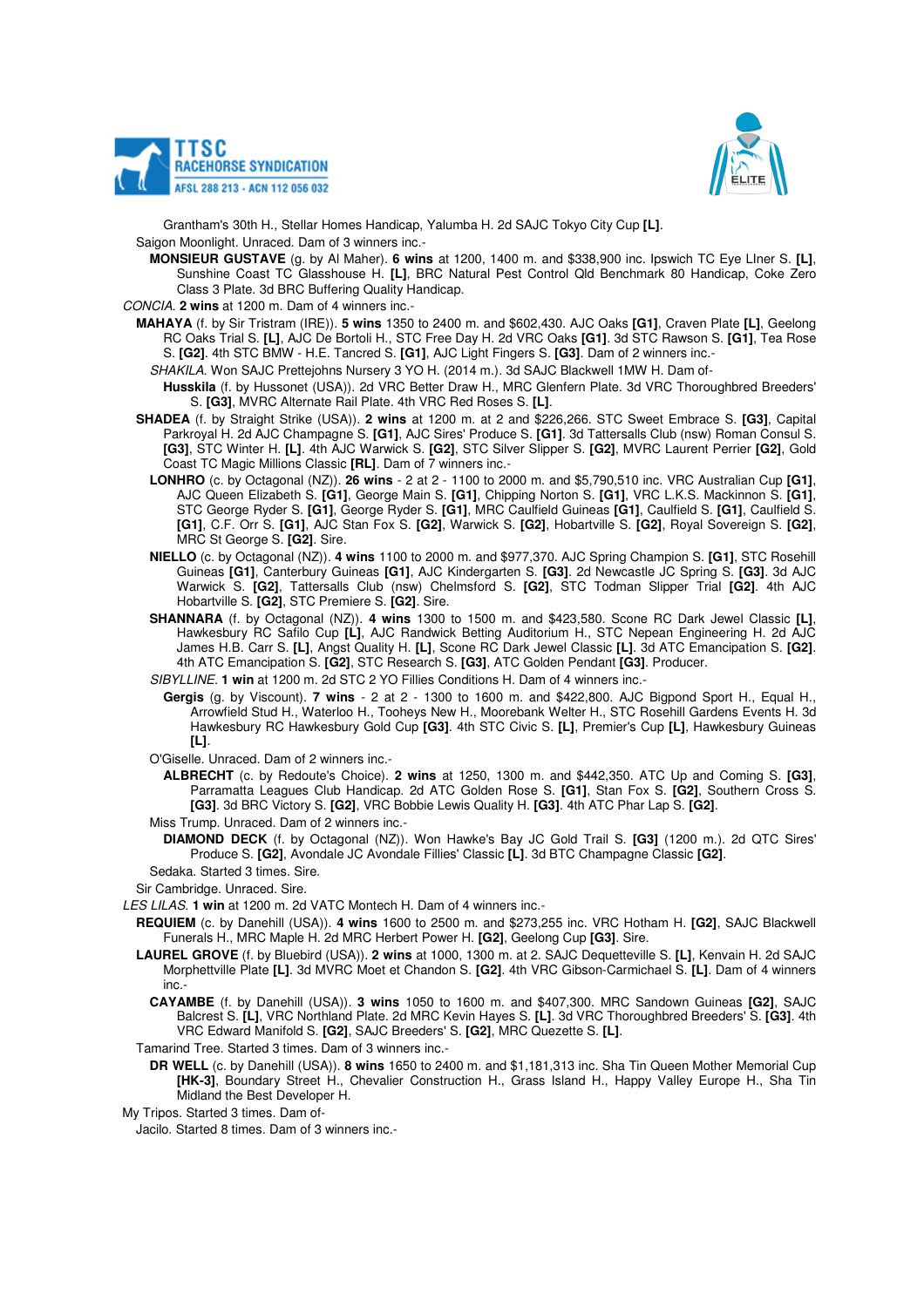



Grantham's 30th H., Stellar Homes Handicap, Yalumba H. 2d SAJC Tokyo City Cup **[L]**. Saigon Moonlight. Unraced. Dam of 3 winners inc.-

**MONSIEUR GUSTAVE** (g. by Al Maher). **6 wins** at 1200, 1400 m. and \$338,900 inc. Ipswich TC Eye LIner S. **[L]**, Sunshine Coast TC Glasshouse H. **[L]**, BRC Natural Pest Control Qld Benchmark 80 Handicap, Coke Zero Class 3 Plate. 3d BRC Buffering Quality Handicap.

CONCIA. **2 wins** at 1200 m. Dam of 4 winners inc.-

- **MAHAYA** (f. by Sir Tristram (IRE)). **5 wins** 1350 to 2400 m. and \$602,430. AJC Oaks **[G1]**, Craven Plate **[L]**, Geelong RC Oaks Trial S. **[L]**, AJC De Bortoli H., STC Free Day H. 2d VRC Oaks **[G1]**. 3d STC Rawson S. **[G1]**, Tea Rose S. **[G2]**. 4th STC BMW - H.E. Tancred S. **[G1]**, AJC Light Fingers S. **[G3]**. Dam of 2 winners inc.-
- SHAKILA. Won SAJC Prettejohns Nursery 3 YO H. (2014 m.). 3d SAJC Blackwell 1MW H. Dam of-
	- **Husskila** (f. by Hussonet (USA)). 2d VRC Better Draw H., MRC Glenfern Plate. 3d VRC Thoroughbred Breeders' S. **[G3]**, MVRC Alternate Rail Plate. 4th VRC Red Roses S. **[L]**.
- **SHADEA** (f. by Straight Strike (USA)). **2 wins** at 1200 m. at 2 and \$226,266. STC Sweet Embrace S. **[G3]**, Capital Parkroyal H. 2d AJC Champagne S. **[G1]**, AJC Sires' Produce S. **[G1]**. 3d Tattersalls Club (nsw) Roman Consul S. **[G3]**, STC Winter H. **[L]**. 4th AJC Warwick S. **[G2]**, STC Silver Slipper S. **[G2]**, MVRC Laurent Perrier **[G2]**, Gold Coast TC Magic Millions Classic **[RL]**. Dam of 7 winners inc.-
	- **LONHRO** (c. by Octagonal (NZ)). **26 wins**  2 at 2 1100 to 2000 m. and \$5,790,510 inc. VRC Australian Cup **[G1]**, AJC Queen Elizabeth S. **[G1]**, George Main S. **[G1]**, Chipping Norton S. **[G1]**, VRC L.K.S. Mackinnon S. **[G1]**, STC George Ryder S. **[G1]**, George Ryder S. **[G1]**, MRC Caulfield Guineas **[G1]**, Caulfield S. **[G1]**, Caulfield S. **[G1]**, C.F. Orr S. **[G1]**, AJC Stan Fox S. **[G2]**, Warwick S. **[G2]**, Hobartville S. **[G2]**, Royal Sovereign S. **[G2]**, MRC St George S. **[G2]**. Sire.
	- **NIELLO** (c. by Octagonal (NZ)). **4 wins** 1100 to 2000 m. and \$977,370. AJC Spring Champion S. **[G1]**, STC Rosehill Guineas **[G1]**, Canterbury Guineas **[G1]**, AJC Kindergarten S. **[G3]**. 2d Newcastle JC Spring S. **[G3]**. 3d AJC Warwick S. **[G2]**, Tattersalls Club (nsw) Chelmsford S. **[G2]**, STC Todman Slipper Trial **[G2]**. 4th AJC Hobartville S. **[G2]**, STC Premiere S. **[G2]**. Sire.
	- **SHANNARA** (f. by Octagonal (NZ)). **4 wins** 1300 to 1500 m. and \$423,580. Scone RC Dark Jewel Classic **[L]**, Hawkesbury RC Safilo Cup **[L]**, AJC Randwick Betting Auditorium H., STC Nepean Engineering H. 2d AJC James H.B. Carr S. **[L]**, Angst Quality H. **[L]**, Scone RC Dark Jewel Classic **[L]**. 3d ATC Emancipation S. **[G2]**. 4th ATC Emancipation S. **[G2]**, STC Research S. **[G3]**, ATC Golden Pendant **[G3]**. Producer.

SIBYLLINE. **1 win** at 1200 m. 2d STC 2 YO Fillies Conditions H. Dam of 4 winners inc.-

**Gergis** (g. by Viscount). **7 wins** - 2 at 2 - 1300 to 1600 m. and \$422,800. AJC Bigpond Sport H., Equal H., Arrowfield Stud H., Waterloo H., Tooheys New H., Moorebank Welter H., STC Rosehill Gardens Events H. 3d Hawkesbury RC Hawkesbury Gold Cup **[G3]**. 4th STC Civic S. **[L]**, Premier's Cup **[L]**, Hawkesbury Guineas **[L]**.

O'Giselle. Unraced. Dam of 2 winners inc.-

- **ALBRECHT** (c. by Redoute's Choice). **2 wins** at 1250, 1300 m. and \$442,350. ATC Up and Coming S. **[G3]**, Parramatta Leagues Club Handicap. 2d ATC Golden Rose S. **[G1]**, Stan Fox S. **[G2]**, Southern Cross S. **[G3]**. 3d BRC Victory S. **[G2]**, VRC Bobbie Lewis Quality H. **[G3]**. 4th ATC Phar Lap S. **[G2]**.
- Miss Trump. Unraced. Dam of 2 winners inc.-
	- **DIAMOND DECK** (f. by Octagonal (NZ)). Won Hawke's Bay JC Gold Trail S. **[G3]** (1200 m.). 2d QTC Sires' Produce S. **[G2]**, Avondale JC Avondale Fillies' Classic **[L]**. 3d BTC Champagne Classic **[G2]**.

Sedaka. Started 3 times. Sire.

Sir Cambridge. Unraced. Sire.

LES LILAS. **1 win** at 1200 m. 2d VATC Montech H. Dam of 4 winners inc.-

- **REQUIEM** (c. by Danehill (USA)). **4 wins** 1600 to 2500 m. and \$273,255 inc. VRC Hotham H. **[G2]**, SAJC Blackwell Funerals H., MRC Maple H. 2d MRC Herbert Power H. **[G2]**, Geelong Cup **[G3]**. Sire.
- **LAUREL GROVE** (f. by Bluebird (USA)). **2 wins** at 1000, 1300 m. at 2. SAJC Dequetteville S. **[L]**, Kenvain H. 2d SAJC Morphettville Plate **[L]**. 3d MVRC Moet et Chandon S. **[G2]**. 4th VRC Gibson-Carmichael S. **[L]**. Dam of 4 winners inc.-
	- **CAYAMBE** (f. by Danehill (USA)). **3 wins** 1050 to 1600 m. and \$407,300. MRC Sandown Guineas **[G2]**, SAJC Balcrest S. **[L]**, VRC Northland Plate. 2d MRC Kevin Hayes S. **[L]**. 3d VRC Thoroughbred Breeders' S. **[G3]**. 4th VRC Edward Manifold S. **[G2]**, SAJC Breeders' S. **[G2]**, MRC Quezette S. **[L]**.
- Tamarind Tree. Started 3 times. Dam of 3 winners inc.-
	- **DR WELL** (c. by Danehill (USA)). **8 wins** 1650 to 2400 m. and \$1,181,313 inc. Sha Tin Queen Mother Memorial Cup **[HK-3]**, Boundary Street H., Chevalier Construction H., Grass Island H., Happy Valley Europe H., Sha Tin Midland the Best Developer H.

My Tripos. Started 3 times. Dam of-

Jacilo. Started 8 times. Dam of 3 winners inc.-